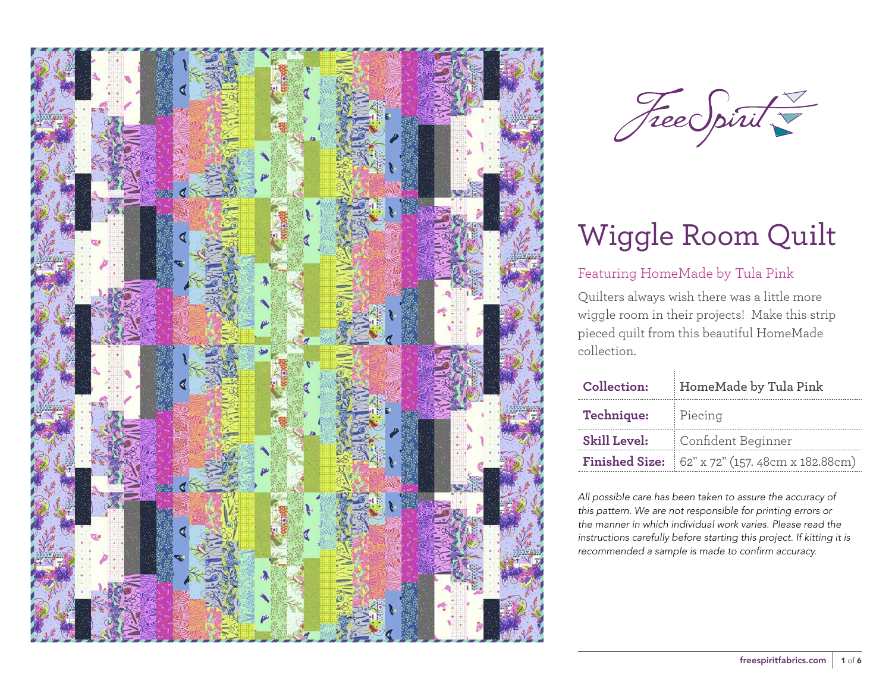



## Featuring HomeMade by Tula Pink

Quilters always wish there was a little more wiggle room in their projects! Make this strip pieced quilt from this beautiful HomeMade collection.

| <b>Collection:</b>  | HomeMade by Tula Pink                                  |  |
|---------------------|--------------------------------------------------------|--|
| <b>Technique:</b>   | Piecing                                                |  |
| <b>Skill Level:</b> | Confident Beginner                                     |  |
|                     | <b>Finished Size:</b> 62" x 72" (157. 48cm x 182.88cm) |  |

*All possible care has been taken to assure the accuracy of this pattern. We are not responsible for printing errors or the manner in which individual work varies. Please read the instructions carefully before starting this project. If kitting it is recommended a sample is made to confirm accuracy.*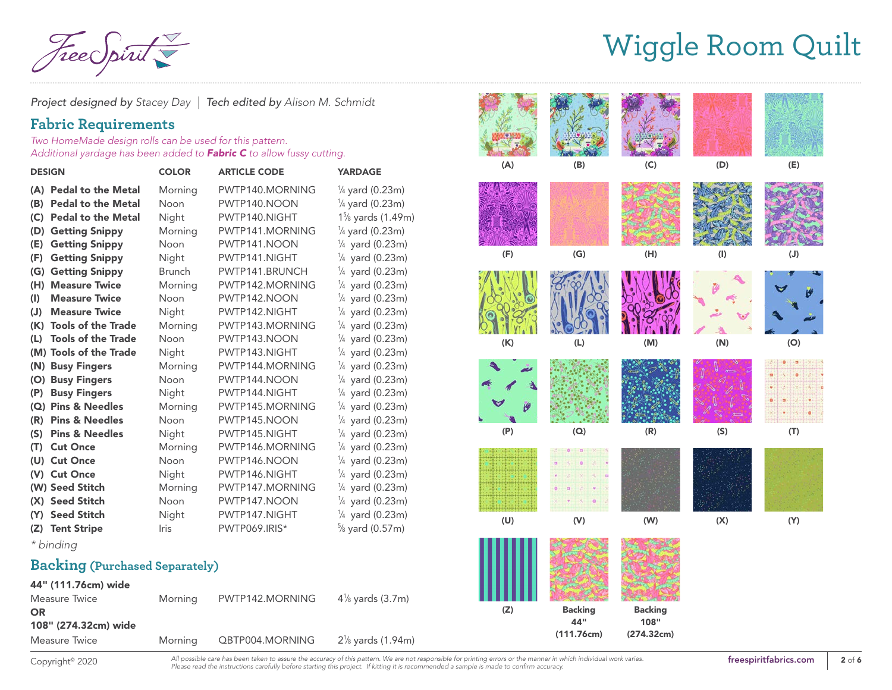Tee Spiru

*Project designed by Stacey Day | Tech edited by Alison M. Schmidt*

### **Fabric Requirements**

*Two HomeMade design rolls can be used for this pattern. Additional yardage has been added to Fabric C to allow fussy cutting.*

| <b>DESIGN</b> |                           | <b>COLOR</b>  | <b>ARTICLE CODE</b> | <b>YARDAGE</b>                              |
|---------------|---------------------------|---------------|---------------------|---------------------------------------------|
|               | (A) Pedal to the Metal    | Morning       | PWTP140.MORNING     | ¼ yard (0.23m)                              |
| (B)           | <b>Pedal to the Metal</b> | Noon          | PWTP140.NOON        | $\frac{1}{4}$ yard (0.23m)                  |
| (C)           | <b>Pedal to the Metal</b> | Night         | PWTP140.NIGHT       | 1 <sup>5</sup> / <sub>8</sub> yards (1.49m) |
| (D)           | <b>Getting Snippy</b>     | Morning       | PWTP141.MORNING     | $\frac{1}{4}$ yard (0.23m)                  |
| (E)           | <b>Getting Snippy</b>     | Noon          | PWTP141.NOON        | $\frac{1}{4}$ yard (0.23m)                  |
| (F)           | <b>Getting Snippy</b>     | Night         | PWTP141.NIGHT       | $\frac{1}{4}$ yard (0.23m)                  |
| (G)           | <b>Getting Snippy</b>     | <b>Brunch</b> | PWTP141.BRUNCH      | $\frac{1}{4}$ yard (0.23m)                  |
| (H)           | <b>Measure Twice</b>      | Morning       | PWTP142.MORNING     | $\frac{1}{4}$ yard (0.23m)                  |
| (1)           | <b>Measure Twice</b>      | Noon          | PWTP142.NOON        | $\frac{1}{4}$ yard (0.23m)                  |
| (J)           | <b>Measure Twice</b>      | Night         | PWTP142.NIGHT       | $\frac{1}{4}$ yard (0.23m)                  |
| (K)           | <b>Tools of the Trade</b> | Morning       | PWTP143.MORNING     | $\frac{1}{4}$ yard (0.23m)                  |
| (L)           | <b>Tools of the Trade</b> | Noon          | PWTP143.NOON        | $\frac{1}{4}$ yard (0.23m)                  |
|               | (M) Tools of the Trade    | Night         | PWTP143.NIGHT       | $\frac{1}{4}$ yard (0.23m)                  |
| (N)           | <b>Busy Fingers</b>       | Morning       | PWTP144.MORNING     | $\frac{1}{4}$ yard (0.23m)                  |
| (O)           | <b>Busy Fingers</b>       | Noon          | PWTP144.NOON        | $\frac{1}{4}$ yard (0.23m)                  |
| (P)           | <b>Busy Fingers</b>       | Night         | PWTP144.NIGHT       | $\frac{1}{4}$ yard (0.23m)                  |
| (Q)           | <b>Pins &amp; Needles</b> | Morning       | PWTP145.MORNING     | $\frac{1}{4}$ yard (0.23m)                  |
| (R)           | <b>Pins &amp; Needles</b> | Noon          | PWTP145.NOON        | $\frac{1}{4}$ yard (0.23m)                  |
| (S)           | <b>Pins &amp; Needles</b> | Night         | PWTP145.NIGHT       | $\frac{1}{4}$ yard (0.23m)                  |
| (T)           | <b>Cut Once</b>           | Morning       | PWTP146.MORNING     | $\frac{1}{4}$ yard (0.23m)                  |
|               | (U) Cut Once              | Noon          | PWTP146.NOON        | $\frac{1}{4}$ yard (0.23m)                  |
|               | (V) Cut Once              | Night         | PWTP146.NIGHT       | $\frac{1}{4}$ yard (0.23m)                  |
|               | (W) Seed Stitch           | Morning       | PWTP147.MORNING     | $\frac{1}{4}$ yard (0.23m)                  |
|               | (X) Seed Stitch           | Noon          | PWTP147.NOON        | $\frac{1}{4}$ yard (0.23m)                  |
|               | (Y) Seed Stitch           | Night         | PWTP147.NIGHT       | $\frac{1}{4}$ yard (0.23m)                  |
| (Z)           | <b>Tent Stripe</b>        | <b>Iris</b>   | PWTP069.IRIS*       | $\frac{5}{8}$ yard (0.57m)                  |

*\* binding* 

#### **Backing (Purchased Separately)**

| 44" (111.76cm) wide  |         |                 |                     |
|----------------------|---------|-----------------|---------------------|
| Measure Twice        | Morning | PWTP142.MORNING | $4\%$ yards (3.7m)  |
| <b>OR</b>            |         |                 |                     |
| 108" (274.32cm) wide |         |                 |                     |
| Measure Twice        | Morning | QBTP004.MORNING | $2\%$ yards (1.94m) |
|                      |         |                 |                     |



Copyright<sup>®</sup> 2020

All possible care has been taken to assure the accuracy of this pattern. We are not responsible for printing errors or the manner in which individual work varies. **[freespiritfabrics.com](http://www.freespiritfabric.com)** *Please read the instructions carefully before starting this project. If kitting it is recommended a sample is made to confirm accuracy.*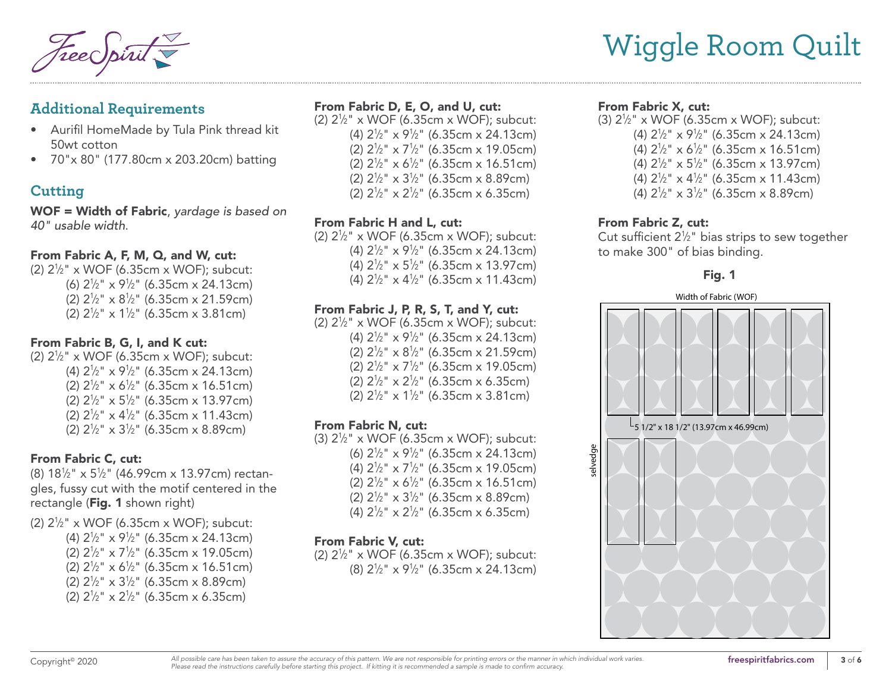### **Additional Requirements**

- Aurifil HomeMade by Tula Pink thread kit 50wt cotton
- 70"x 80" (177.80cm x 203.20cm) batting

## **Cutting**

WOF = Width of Fabric, *yardage is based on 40" usable width*.

#### From Fabric A, F, M, Q, and W, cut:

(2) 21 ⁄2" x WOF (6.35cm x WOF); subcut: (6) 21 ⁄2" x 91 ⁄2" (6.35cm x 24.13cm) (2) 21 ⁄2" x 81 ⁄2" (6.35cm x 21.59cm) (2) 21 ⁄2" x 11 ⁄2" (6.35cm x 3.81cm)

#### From Fabric B, G, I, and K cut:

(2) 21 ⁄2" x WOF (6.35cm x WOF); subcut: (4) 21 ⁄2" x 91 ⁄2" (6.35cm x 24.13cm) (2) 21 ⁄2" x 61 ⁄2" (6.35cm x 16.51cm) (2) 21 ⁄2" x 51 ⁄2" (6.35cm x 13.97cm) (2)  $2\frac{1}{2}$ " x 4 $\frac{1}{2}$ " (6.35cm x 11.43cm) (2) 21 ⁄2" x 31 ⁄2" (6.35cm x 8.89cm)

#### From Fabric C, cut:

(8) 181 ⁄2" x 51 ⁄2" (46.99cm x 13.97cm) rectangles, fussy cut with the motif centered in the rectangle (Fig. 1 shown right)

- (2) 21 ⁄2" x WOF (6.35cm x WOF); subcut:
	- (4) 21 ⁄2" x 91 ⁄2" (6.35cm x 24.13cm) (2)  $2\frac{1}{2}$ " x 7 $\frac{1}{2}$ " (6.35cm x 19.05cm) (2)  $2\frac{1}{2}$ " x 6 $\frac{1}{2}$ " (6.35cm x 16.51cm)
	- (2) 21 ⁄2" x 31 ⁄2" (6.35cm x 8.89cm)
	- (2) 21 ⁄2" x 21 ⁄2" (6.35cm x 6.35cm)

#### From Fabric D, E, O, and U, cut:

(2) 21 ⁄2" x WOF (6.35cm x WOF); subcut: (4) 21 ⁄2" x 91 ⁄2" (6.35cm x 24.13cm) (2) 21 ⁄2" x 71 ⁄2" (6.35cm x 19.05cm) (2) 21 ⁄2" x 61 ⁄2" (6.35cm x 16.51cm) (2) 21 ⁄2" x 31 ⁄2" (6.35cm x 8.89cm) (2) 21 ⁄2" x 21 ⁄2" (6.35cm x 6.35cm)

#### From Fabric H and L, cut:

(2) 21 ⁄2" x WOF (6.35cm x WOF); subcut: (4) 21 ⁄2" x 91 ⁄2" (6.35cm x 24.13cm) (4) 21 ⁄2" x 51 ⁄2" (6.35cm x 13.97cm) (4) 21 ⁄2" x 41 ⁄2" (6.35cm x 11.43cm)

### From Fabric J, P, R, S, T, and Y, cut:

(2) 21 ⁄2" x WOF (6.35cm x WOF); subcut: (4) 21 ⁄2" x 91 ⁄2" (6.35cm x 24.13cm) (2) 21 ⁄2" x 81 ⁄2" (6.35cm x 21.59cm) (2) 21 ⁄2" x 71 ⁄2" (6.35cm x 19.05cm) (2) 21 ⁄2" x 21 ⁄2" (6.35cm x 6.35cm) (2) 21 ⁄2" x 11 ⁄2" (6.35cm x 3.81cm)

#### From Fabric N, cut:

(3) 21 ⁄2" x WOF (6.35cm x WOF); subcut: (6) 21 ⁄2" x 91 ⁄2" (6.35cm x 24.13cm) (4) 21 ⁄2" x 71 ⁄2" (6.35cm x 19.05cm) (2) 21 ⁄2" x 61 ⁄2" (6.35cm x 16.51cm) (2) 21 ⁄2" x 31 ⁄2" (6.35cm x 8.89cm) (4) 21 ⁄2" x 21 ⁄2" (6.35cm x 6.35cm)

#### From Fabric V, cut:

(2) 21 ⁄2" x WOF (6.35cm x WOF); subcut: (8) 21 ⁄2" x 91 ⁄2" (6.35cm x 24.13cm)

#### From Fabric X, cut:

(3) 21 ⁄2" x WOF (6.35cm x WOF); subcut: (4) 21 ⁄2" x 91 ⁄2" (6.35cm x 24.13cm) (4) 21 ⁄2" x 61 ⁄2" (6.35cm x 16.51cm) (4) 21 ⁄2" x 51 ⁄2" (6.35cm x 13.97cm) (4)  $2\frac{1}{2}$ " x 4 $\frac{1}{2}$ " (6.35cm x 11.43cm) (4) 21 ⁄2" x 31 ⁄2" (6.35cm x 8.89cm)

#### From Fabric Z, cut:

Cut sufficient  $2\frac{1}{2}$ " bias strips to sew together to make 300" of bias binding.

#### Fig. 1

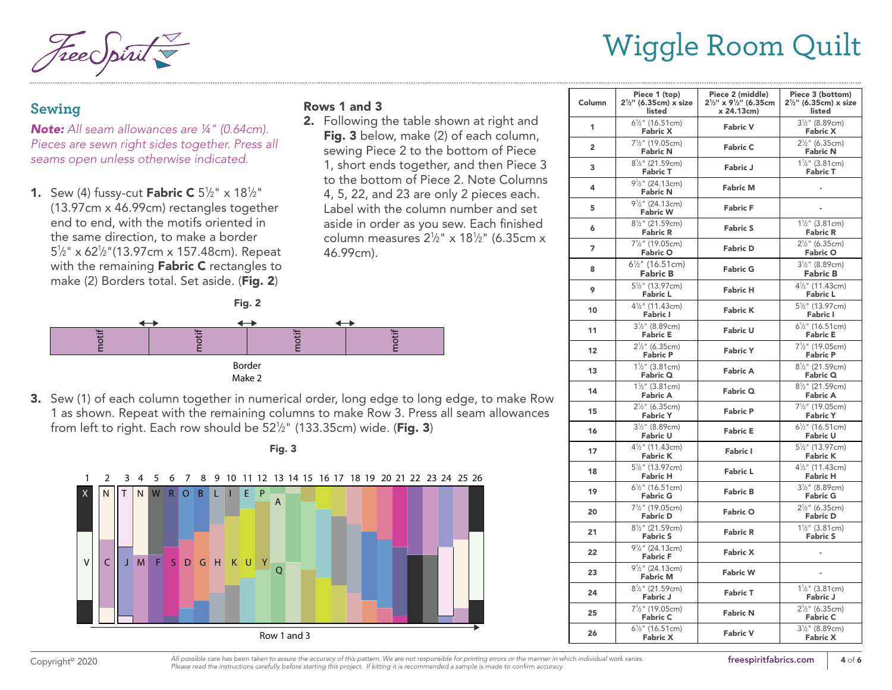Wiggle Room Quilt

### **Sewing**

*Note: All seam allowances are 1/4" (0.64cm). Pieces are sewn right sides together. Press all seams open unless otherwise indicated.*

**1.** Sew (4) fussy-cut **Fabric C**  $5\frac{1}{2}$ " x  $18\frac{1}{2}$ " (13.97cm x 46.99cm) rectangles together end to end, with the motifs oriented in the same direction, to make a border 51 ⁄2" x 621 ⁄2"(13.97cm x 157.48cm). Repeat with the remaining Fabric C rectangles to make (2) Borders total. Set aside. (Fig. 2)

#### Rows 1 and 3

2. Following the table shown at right and Fig. 3 below, make (2) of each column, sewing Piece 2 to the bottom of Piece 1, short ends together, and then Piece 3 to the bottom of Piece 2. Note Columns 4, 5, 22, and 23 are only 2 pieces each. Label with the column number and set aside in order as you sew. Each finished column measures 21 ⁄2" x 181 ⁄2" (6.35cm x 46.99cm).



**3.** Sew (1) of each column together in numerical order, long edge to long edge, to make Row 1 as shown. Repeat with the remaining columns to make Row 3. Press all seam allowances<br>from left to right. Each row should be 52%" (133.35cm) wide. (**Fig. 3**) from left to right. Each row should be  $52\frac{1}{2}$ " (133.35cm) wide. (Fig. 3)





| Column         | Piece 1 (top)<br>$2\frac{1}{2}$ " (6.35cm) x size<br>listed  | Piece 2 (middle)<br>$2\frac{1}{2}$ " x 9 <sup>1</sup> / <sub>2</sub> " (6.35cm<br>x 24.13cm) | Piece 3 (bottom)<br>$2\frac{1}{2}$ " (6.35cm) x size<br>listed |
|----------------|--------------------------------------------------------------|----------------------------------------------------------------------------------------------|----------------------------------------------------------------|
| 1              | $6\frac{1}{2}$ " (16.51cm)<br><b>Fabric X</b>                | <b>Fabric V</b>                                                                              | $3\frac{1}{2}$ " (8.89cm)<br><b>Fabric X</b>                   |
| $\overline{2}$ | 7 <sup>1</sup> / <sub>2</sub> " (19.05cm)<br><b>Fabric N</b> | <b>Fabric C</b>                                                                              | $2\frac{1}{2}$ " (6.35cm)<br><b>Fabric N</b>                   |
| 3              | 8 <sup>1</sup> / <sub>2</sub> " (21.59cm)<br><b>Fabric T</b> | Fabric J                                                                                     | $1\frac{1}{2}$ " (3.81cm)<br><b>Fabric T</b>                   |
| 4              | $9\frac{1}{2}$ " (24.13cm)<br><b>Fabric N</b>                | <b>Fabric M</b>                                                                              |                                                                |
| 5              | $9\frac{1}{2}$ " (24.13cm)<br><b>Fabric W</b>                | <b>Fabric F</b>                                                                              |                                                                |
| 6              | 8 <sup>1</sup> / <sub>2</sub> " (21.59cm)<br><b>Fabric R</b> | <b>Fabric S</b>                                                                              | $1\frac{1}{2}$ " (3.81cm)<br>Fabric R                          |
| 7              | 7 <sup>1</sup> / <sub>2</sub> " (19.05cm)<br><b>Fabric O</b> | <b>Fabric D</b>                                                                              | $2\frac{1}{2}$ " (6.35cm)<br><b>Fabric O</b>                   |
| 8              | $6\frac{1}{2}$ " (16.51cm)<br><b>Fabric B</b>                | <b>Fabric G</b>                                                                              | $3\frac{1}{2}$ " (8.89cm)<br><b>Fabric B</b>                   |
| 9              | 5 <sup>1</sup> / <sub>2</sub> " (13.97cm)<br><b>Fabric L</b> | <b>Fabric H</b>                                                                              | 4 <sup>1</sup> / <sub>2</sub> " (11.43cm)<br><b>Fabric L</b>   |
| 10             | 4 <sup>1</sup> / <sub>2</sub> " (11.43cm)<br><b>Fabric I</b> | <b>Fabric K</b>                                                                              | 5 <sup>1</sup> / <sub>2</sub> " (13.97cm)<br><b>Fabric I</b>   |
| 11             | 31/2" (8.89cm)<br><b>Fabric E</b>                            | <b>Fabric U</b>                                                                              | $6\frac{1}{2}$ " (16.51cm)<br>Fabric E                         |
| 12             | $2\frac{1}{2}$ " (6.35cm)<br><b>Fabric P</b>                 | <b>Fabric Y</b>                                                                              | $7\frac{1}{2}$ " (19.05cm)<br><b>Fabric P</b>                  |
| 13             | $1\frac{1}{2}$ " (3.81cm)<br>Fabric Q                        | <b>Fabric A</b>                                                                              | 8 <sup>1</sup> / <sub>2</sub> " (21.59cm)<br>Fabric Q          |
| 14             | $1\frac{1}{2}$ " (3.81cm)<br><b>Fabric A</b>                 | Fabric Q                                                                                     | 8 <sup>1</sup> / <sub>2</sub> " (21.59cm)<br><b>Fabric A</b>   |
| 15             | $2\frac{1}{2}$ " (6.35cm)<br><b>Fabric Y</b>                 | <b>Fabric P</b>                                                                              | 7 <sup>1</sup> / <sub>2</sub> " (19.05cm)<br><b>Fabric Y</b>   |
| 16             | $3\frac{1}{2}$ " (8.89cm)<br><b>Fabric U</b>                 | <b>Fabric E</b>                                                                              | $6\frac{1}{2}$ " (16.51cm)<br><b>Fabric U</b>                  |
| 17             | 4 <sup>1</sup> / <sub>2</sub> " (11.43cm)<br><b>Fabric K</b> | <b>Fabric I</b>                                                                              | 5 <sup>1</sup> / <sub>2</sub> " (13.97cm)<br><b>Fabric K</b>   |
| 18             | 5 <sup>1</sup> / <sub>2</sub> " (13.97cm)<br><b>Fabric H</b> | <b>Fabric L</b>                                                                              | $4\frac{1}{2}$ " (11.43cm)<br><b>Fabric H</b>                  |
| 19             | $6\frac{1}{2}$ " (16.51cm)<br><b>Fabric G</b>                | <b>Fabric B</b>                                                                              | 31/2" (8.89cm)<br><b>Fabric G</b>                              |
| 20             | $7\frac{1}{2}$ " (19.05cm)<br><b>Fabric D</b>                | <b>Fabric O</b>                                                                              | $2\frac{1}{2}$ " (6.35cm)<br><b>Fabric D</b>                   |
| 21             | 8 <sup>1</sup> / <sub>2</sub> " (21.59cm)<br><b>Fabric S</b> | <b>Fabric R</b>                                                                              | $1\frac{1}{2}$ " (3.81cm)<br><b>Fabric S</b>                   |
| 22             | $9\frac{1}{2}$ " (24.13cm)<br><b>Fabric F</b>                | <b>Fabric X</b>                                                                              |                                                                |
| 23             | $9\frac{1}{2}$ " (24.13cm)<br><b>Fabric M</b>                | <b>Fabric W</b>                                                                              |                                                                |
| 24             | $8\frac{1}{2}$ " (21.59cm)<br>Fabric J                       | <b>Fabric T</b>                                                                              | $1\frac{1}{2}$ " (3.81cm)<br>Fabric J                          |
| 25             | 7 <sup>1</sup> / <sub>2</sub> " (19.05cm)<br><b>Fabric C</b> | <b>Fabric N</b>                                                                              | $2\frac{1}{2}$ " (6.35cm)<br><b>Fabric C</b>                   |
| 26             | $6\frac{1}{2}$ " (16.51cm)<br><b>Fabric X</b>                | <b>Fabric V</b>                                                                              | 31/2" (8.89cm)<br><b>Fabric X</b>                              |

Copyright<sup>®</sup> 2020 <sup>All possible care has been taken to assure the accuracy of this pattern. We are not responsible for printing errors or the manner in which individual work varies. **[freespiritfabrics.com](http://www.freespiritfabric.com)** 4 of 6</sup> *Please read the instructions carefully before starting this project. If kitting it is recommended a sample is made to confirm accuracy.*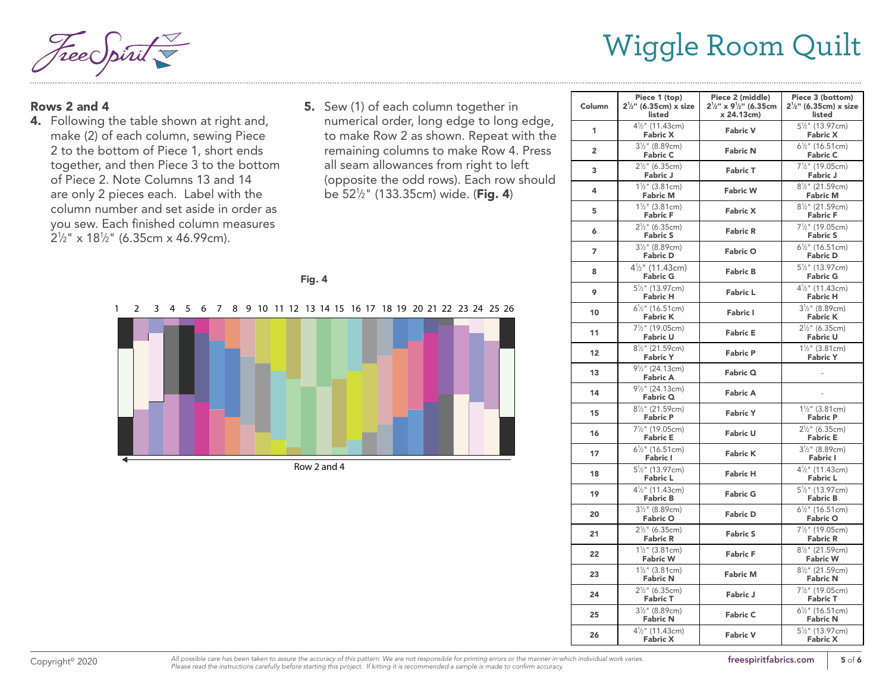$\frac{1}{\lambda}$ 

#### Rows 2 and 4

- **4.** Following the table shown at right and,  $\overline{\phantom{a}}$ make (2) of each column, sewing Piece 2 to the bottom of Piece 1, short ends together, and then Piece 3 to the bottom of Piece 2. Note Columns 13 and 14 are only 2 pieces each. Label with the column number and set aside in order as you sew. Each finished column measures  $2\frac{1}{2}$ " x 18<sup>1</sup>/<sub>2</sub>" (6.35cm x 46.99cm).
- **5.** Sew (1) of each column together in numerical order, long edge to long edge, to make Row 2 as shown. Repeat with the remaining columns to make Row 4. Press all seam allowances from right to left (opposite the odd rows). Each row should be 52½" (133.35cm) wide. (**Fig. 4**)

| o m<br>×<br>٠ |  |
|---------------|--|
|---------------|--|

. . . . . . . . . . . . . .



Row 2 and 4

| Column         | Piece 1 (top)<br>$2\frac{1}{2}$ " (6.35cm) x size<br>listed  | Piece 2 (middle)<br>$2\frac{1}{2}$ " x 9 <sup>1</sup> / <sub>2</sub> " (6.35cm<br>x 24.13cm) | Piece 3 (bottom)<br>$2\frac{1}{2}$ " (6.35cm) x size<br>listed |
|----------------|--------------------------------------------------------------|----------------------------------------------------------------------------------------------|----------------------------------------------------------------|
| 1              | $4\frac{1}{2}$ " (11.43cm)<br><b>Fabric X</b>                | <b>Fabric V</b>                                                                              | $5\frac{1}{2}$ " (13.97cm)<br><b>Fabric X</b>                  |
| $\overline{2}$ | $3\frac{1}{2}$ " (8.89cm)<br><b>Fabric C</b>                 | <b>Fabric N</b>                                                                              | $6\frac{1}{2}$ " (16.51cm)<br><b>Fabric C</b>                  |
| 3              | $2\frac{1}{2}$ " (6.35cm)<br><b>Fabric J</b>                 | <b>Fabric T</b>                                                                              | 7 <sup>1</sup> / <sub>2</sub> " (19.05cm)<br>Fabric J          |
| 4              | $1\frac{1}{2}$ " (3.81cm)<br><b>Fabric M</b>                 | <b>Fabric W</b>                                                                              | $8\frac{1}{2}$ " (21.59cm)<br><b>Fabric M</b>                  |
| 5              | $1\frac{1}{2}$ " (3.81cm)<br><b>Fabric F</b>                 | <b>Fabric X</b>                                                                              | 8 <sup>1</sup> / <sub>2</sub> " (21.59cm)<br><b>Fabric F</b>   |
| 6              | $2\frac{1}{2}$ " (6.35cm)<br><b>Fabric S</b>                 | <b>Fabric R</b>                                                                              | 7 <sup>1</sup> / <sub>2</sub> " (19.05cm)<br><b>Fabric S</b>   |
| 7              | $3\frac{1}{2}$ " (8.89cm)<br><b>Fabric D</b>                 | <b>Fabric O</b>                                                                              | $6\frac{1}{2}$ " (16.51cm)<br><b>Fabric D</b>                  |
| 8              | $4\frac{1}{2}$ " (11.43cm)<br><b>Fabric G</b>                | <b>Fabric B</b>                                                                              | 5 <sup>1</sup> / <sub>2</sub> " (13.97cm)<br><b>Fabric G</b>   |
| 9              | $5\frac{1}{2}$ " (13.97cm)<br><b>Fabric H</b>                | <b>Fabric L</b>                                                                              | $4\frac{1}{2}$ " (11.43cm)<br><b>Fabric H</b>                  |
| 10             | $6\frac{1}{2}$ " (16.51cm)<br><b>Fabric K</b>                | <b>Fabric I</b>                                                                              | $3\frac{1}{2}$ " (8.89cm)<br><b>Fabric K</b>                   |
| 11             | 7 <sup>1</sup> / <sub>2</sub> " (19.05cm)<br><b>Fabric U</b> | <b>Fabric E</b>                                                                              | $2\frac{1}{2}$ " (6.35cm)<br><b>Fabric U</b>                   |
| 12             | $8\frac{1}{2}$ " (21.59cm)<br><b>Fabric Y</b>                | <b>Fabric P</b>                                                                              | $1\frac{1}{2}$ " (3.81cm)<br><b>Fabric Y</b>                   |
| 13             | $9\frac{1}{2}$ " (24.13cm)<br><b>Fabric A</b>                | Fabric Q                                                                                     |                                                                |
| 14             | 9 <sup>1</sup> / <sub>2</sub> " (24.13cm)<br>Fabric Q        | Fabric A                                                                                     |                                                                |
| 15             | 8 <sup>1</sup> / <sub>2</sub> " (21.59cm)<br><b>Fabric P</b> | <b>Fabric Y</b>                                                                              | $1\frac{1}{2}$ " (3.81cm)<br><b>Fabric P</b>                   |
| 16             | $7\frac{1}{2}$ " (19.05cm)<br><b>Fabric E</b>                | <b>Fabric U</b>                                                                              | $2\frac{1}{2}$ " (6.35cm)<br><b>Fabric E</b>                   |
| 17             | 6 <sup>1</sup> / <sub>2</sub> " (16.51cm)<br><b>Fabric I</b> | <b>Fabric K</b>                                                                              | 31/2" (8.89cm)<br><b>Fabric I</b>                              |
| 18             | 5 <sup>1</sup> / <sub>2</sub> " (13.97cm)<br><b>Fabric L</b> | <b>Fabric H</b>                                                                              | $4\frac{1}{2}$ " (11.43cm)<br><b>Fabric L</b>                  |
| 19             | $4\frac{1}{2}$ " (11.43cm)<br><b>Fabric B</b>                | <b>Fabric G</b>                                                                              | $5\frac{1}{2}$ " (13.97cm)<br><b>Fabric B</b>                  |
| 20             | $3\frac{1}{2}$ " (8.89cm)<br><b>Fabric O</b>                 | <b>Fabric D</b>                                                                              | $6\frac{1}{2}$ " (16.51cm)<br><b>Fabric O</b>                  |
| 21             | $2\frac{1}{2}$ " (6.35cm)<br><b>Fabric R</b>                 | <b>Fabric S</b>                                                                              | 7 <sup>1</sup> / <sub>2</sub> " (19.05cm)<br><b>Fabric R</b>   |
| 22             | $1\frac{1}{2}$ " (3.81cm)<br><b>Fabric W</b>                 | <b>Fabric F</b>                                                                              | 8 <sup>1</sup> / <sub>2</sub> " (21.59cm)<br><b>Fabric W</b>   |
| 23             | $1\frac{1}{2}$ " (3.81cm)<br><b>Fabric N</b>                 | <b>Fabric M</b>                                                                              | $8\frac{1}{2}$ " (21.59cm)<br><b>Fabric N</b>                  |
| 24             | $2\frac{1}{2}$ " (6.35cm)<br><b>Fabric T</b>                 | Fabric J                                                                                     | 7 <sup>1</sup> / <sub>2</sub> " (19.05cm)<br><b>Fabric T</b>   |
| 25             | 31/2" (8.89cm)<br><b>Fabric N</b>                            | <b>Fabric C</b>                                                                              | $6\frac{1}{2}$ " (16.51cm)<br><b>Fabric N</b>                  |
| 26             | $4\frac{1}{2}$ " (11.43cm)<br><b>Fabric X</b>                | <b>Fabric V</b>                                                                              | $5\frac{1}{2}$ " (13.97cm)<br><b>Fabric X</b>                  |

Copyright<sup>®</sup> 2020 All possible care has been taken to assure the accuracy of this pattern. We are not responsible for printing errors or the manner in which individual work varies. **[freespiritfabrics.com](http://www.freespiritfabric.com)** 5 of 6 *Please read the instructions carefully before starting this project. If kitting it is recommended a sample is made to confirm accuracy.*